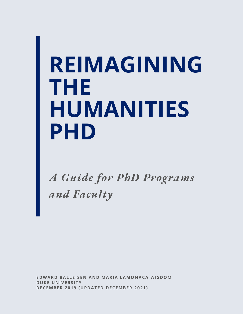# **REIMAGINING THE HUMANITIES PHD**

*A Guide for PhD Programs and Faculty*

**E DWAR D BAL L E I S E N A N D MARIA LAMO N ACA WI S DOM DUKE U N IVERS I TY D ECEMBER 2 0 1 9 (UP D AT E D D ECEMBER 2 0 2 1 )**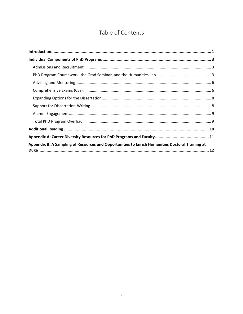# Table of Contents

| Appendix B: A Sampling of Resources and Opportunities to Enrich Humanities Doctoral Training at |  |
|-------------------------------------------------------------------------------------------------|--|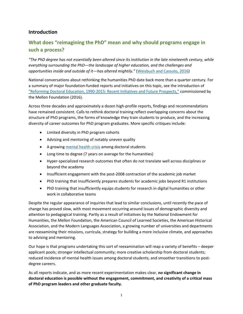# <span id="page-2-0"></span>**Introduction**

# **What does "reimagining the PhD" mean and why should programs engage in such a process?**

*"The PhD degree has not essentially been altered since its institution in the late nineteenth century, while everything surrounding the PhD—the landscape of higher education, and the challenges and opportunities inside and outside of it—has altered mightily."* [\(Weisbuch and](https://mellon.org/media/filer_public/35/32/3532f16c-20c4-4213-805d-356f85251a98/report-on-doctoral-education-reform_june-2016.pdf) Cassuto, 2016)

National conversations about rethinking the humanities PhD date back more than a quarter century. For a summary of major foundation-funded reports and initiatives on this topic, see the introduction of ["Reforming Doctoral Education, 1990-2015: Recent Initiatives and Future Prospects,"](https://mellon.org/news-blog/articles/reforming-doctoral-education-1990-2015-recent-initiatives-and-future-prospects/) commissioned by the Mellon Foundation (2016).

Across three decades and approximately a dozen high-profile reports, findings and recommendations have remained consistent. Calls to rethink doctoral training reflect overlapping concerns about the structure of PhD programs, the forms of knowledge they train students to produce, and the increasing diversity of career outcomes for PhD program graduates. More specific critiques include:

- Limited diversity in PhD program cohorts
- Advising and mentoring of notably uneven quality
- A growin[g mental health crisis](https://cgsnet.org/pressing-issue-mental-wellness-graduate-students-0) among doctoral students
- Long time to degree (7 years on average for the humanities)
- Hyper-specialized research outcomes that often do not translate well across disciplines or beyond the academy
- Insufficient engagement with the post-2008 contraction of the academic job market
- PhD training that insufficiently prepares students for academic jobs beyond R1 institutions
- PhD training that insufficiently equips students for research in digital humanities or other work in collaborative teams

Despite the regular appearance of inquiries that lead to similar conclusions, until recently the pace of change has proved slow, with most movement occurring around issues of demographic diversity and attention to pedagogical training. Partly as a result of initiatives by the National Endowment for Humanities, the Mellon Foundation, the American Council of Learned Societies, the American Historical Association, and the Modern Languages Association, a growing number of universities and departments are reexamining their missions, curricula, strategy for building a more inclusive climate, and approaches to advising and mentoring.

Our hope is that programs undertaking this sort of reexamination will reap a variety of benefits – deeper applicant pools; stronger intellectual community; more creative scholarship from doctoral students; reduced incidence of mental health issues among doctoral students; and smoother transitions to postdegree careers.

As all reports indicate, and as more recent experimentation makes clear, **no significant change in doctoral education is possible without the engagement, commitment, and creativity of a critical mass of PhD program leaders and other graduate faculty.**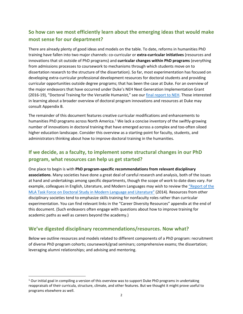# **So how can we most efficiently learn about the emerging ideas that would make most sense for our department?**

There are already plenty of good ideas and models on the table. To date, reforms in humanities PhD training have fallen into two major channels: co-curricular or **extra-curricular initiatives** (resources and innovations that sit outside of PhD programs) and **curricular changes within PhD programs** (everything from admissions processes to coursework to mechanisms through which students move on to dissertation research to the structure of the dissertation). So far, most experimentation has focused on developing extra-curricular professional development resources for doctoral students and providing curricular opportunities outside degree programs; that has been the case at Duke. For an overview of the major endeavors that have occurred under Duke's NEH Next Generation Implementation Grant (2016-19), "Doctoral Training for the Versatile Humanist," see our [final report to NEH.](https://sites.duke.edu/versatilehumanists/files/2019/12/doctoral-training-for-the-versatile-humanist-final-report-2019.pdf) Those interested in learning about a broader overview of doctoral program innovations and resources at Duke may consult Appendix B.

The remainder of this document features creative curricular modifications and enhancements to humanities PhD programs across North America.<sup>[1](#page-3-0)</sup> We lack a concise inventory of the swiftly-growing number of innovations in doctoral training that have emerged across a complex and too-often siloed higher education landscape. Consider this overview as a starting-point for faculty, students, and administrators thinking about how to improve doctoral training in the humanities.

# **If we decide, as a faculty, to implement some structural changes in our PhD program, what resources can help us get started?**

One place to begin is with **PhD program-specific recommendations from relevant disciplinary associations**. Many societies have done a great deal of careful research and analysis, both of the issues at hand and undertakings among specific departments, though the scope of work to date does vary. For example, colleagues in English, Literature, and Modern Languages may wish to review the ["Report of the](https://apps.mla.org/pdf/taskforcedocstudy2014.pdf)  [MLA Task Force on Doctoral Study in Modern Language and Literature"](https://apps.mla.org/pdf/taskforcedocstudy2014.pdf) (2014). Resources from other disciplinary societies tend to emphasize skills training for nonfaculty roles rather than curricular experimentation. You can find relevant links in the "Career Diversity Resources" appendix at the end of this document. (Such endeavors often engage with questions about how to improve training for academic paths as well as careers beyond the academy.)

# **We've digested disciplinary recommendations/resources. Now what?**

Below we outline resources and models related to different components of a PhD program: recruitment of diverse PhD program cohorts; coursework/grad seminars; comprehensive exams; the dissertation; leveraging alumni relationships; and advising and mentoring.

<span id="page-3-0"></span> $1$  Our initial goal in compiling a version of this overview was to support Duke PhD programs in undertaking reappraisals of their curricula, structure, climate, and other features. But we thought it might prove useful to programs elsewhere as well.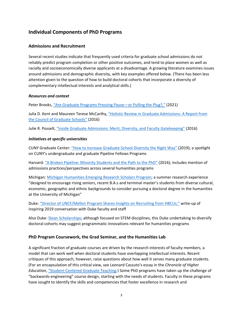# <span id="page-4-0"></span>**Individual Components of PhD Programs**

# <span id="page-4-1"></span>**Admissions and Recruitment**

Several recent studies indicate that frequently used criteria for graduate school admissions do not reliably predict program completion or other positive outcomes, and tend to place women as well as racially and socioeconomically diverse applicants at a disadvantage. A growing literature examines issues around admissions and demographic diversity, with key examples offered below. (There has been less attention given to the question of how to build doctoral cohorts that incorporate a diversity of complementary intellectual interests and analytical skills.)

### *Resources and context*

Peter Brooks, ["Are Graduate Programs Pressing Pause—or Pulling the Plug?,"](https://www.chronicle.com/article/are-graduate-programs-pressing-pause-or-pulling-the-plug) (2021)

Julia D. Kent and Maureen Terese McCarthy, ["Holistic Review in Graduate Admissions: A Report from](https://cgsnet.org/ckfinder/userfiles/files/CGS_HolisticReview_final_web.pdf)  [the Council of Graduate Schools"](https://cgsnet.org/ckfinder/userfiles/files/CGS_HolisticReview_final_web.pdf) (2016)

Julie R. Posselt[, "Inside Graduate Admissions: Merit, Diversity, and Faculty Gatekeeping"](https://www.hup.harvard.edu/catalog.php?isbn=9780674088696) (2016)

# *Initiatives at specific universities*

CUNY Graduate Center: ["How to Increase Graduate-School Diversity the Right Way"](https://www.chronicle.com/article/How-to-Increase/245456) (2019); a spotlight on CUNY's undergraduate and graduate Pipeline Fellows Programs

Harvard: ["A Broken Pipeline: Minority Students and the Path to the PhD"](https://www.thecrimson.com/article/2016/4/27/minority-students-PhD-pipeline/) (2016); includes mention of admissions practices/perspectives across several humanities programs

Michigan: [Michigan Humanities Emerging Research Scholars Program;](https://rackham.umich.edu/rackham-life/diversity-equity-and-inclusion/michhers/) a summer research experience "designed to encourage rising seniors, recent B.A.s and terminal master's students from diverse cultural, economic, geographic and ethnic backgrounds to consider pursuing a doctoral degree in the humanities at the University of Michigan"

Duke: ["Director of UNCF/Mellon Program Shares Insights on Recruiting from HBCUs;"](https://gradschool.duke.edu/about/news/director-uncfmellon-program-shares-insights-recruiting-hbcus) write-up of inspiring 2019 conversation with Duke faculty and staff

Also Duke: [Sloan Scholarships;](https://ucem.duke.edu/sloan-scholarship/) although focused on STEM disciplines, this Duke undertaking to diversify doctoral cohorts may suggest programmatic innovations relevant for humanities programs

# <span id="page-4-2"></span>**PhD Program Coursework, the Grad Seminar, and the Humanities Lab**

A significant fraction of graduate courses are driven by the research interests of faculty members, a model that can work well when doctoral students have overlapping intellectual interests. Recent critiques of this approach, however, raise questions about how well it serves many graduate students. (For an encapsulation of this critical view, see Leonard Cassuto's essay in the *Chronicle of Higher Education*, ["Student-Centered Graduate Teaching.](https://www.chronicle.com/article/Student-Centered-Graduate/142791)) Some PhD programs have taken up the challenge of "backwards-engineering" course design, starting with the needs of students. Faculty in these programs have sought to identify the skills and competencies that foster excellence in research and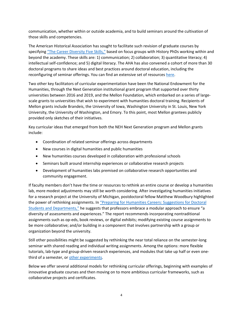communication, whether within or outside academia, and to build seminars around the cultivation of those skills and competencies.

The American Historical Association has sought to facilitate such revision of graduate courses by specifying ["The Career Diversity Five Skills,"](https://www.historians.org/jobs-and-professional-development/career-resources/five-skills) based on focus groups with History PhDs working within and beyond the academy. These skills are: 1) communication; 2) collaboration; 3) quantitative literacy; 4) intellectual self-confidence; and 5) digital literacy. The AHA has also convened a cohort of more than 30 doctoral programs to share ideas and best practices around doctoral education, including the reconfiguring of seminar offerings. You can find an extensive set of resource[s here.](https://www.historians.org/jobs-and-professional-development/career-diversity-for-historians/career-diversity-faculty-resources)

Two other key facilitators of curricular experimentation have been the National Endowment for the Humanities, through the Next Generation institutional grant program that supported over thirty universities between 2016 and 2019, and the Mellon Foundation, which embarked on a series of largescale grants to universities that wish to experiment with humanities doctoral training. Recipients of Mellon grants include Brandeis, the University of Iowa, Washington University in St. Louis, New York University, the University of Washington, and Emory. To this point, most Mellon grantees publicly provided only sketches of their initiatives.

Key curricular ideas that emerged from both the NEH Next Generation program and Mellon grants include:

- Coordination of related seminar offerings across departments
- New courses in digital humanities and public humanities
- New humanities courses developed in collaboration with professional schools
- Seminars built around internship experiences or collaborative research projects
- Development of humanities labs premised on collaborative research opportunities and community engagement.

If faculty members don't have the time or resources to rethink an entire course or develop a humanities lab, more modest adjustments may still be worth considering. After investigating humanities initiatives for a research project at the University of Michigan, postdoctoral fellow Matthew Woodbury highlighted the power of rethinking assignments. In "Preparing for Humanities Careers: Suggestions for Doctoral [Students and Departments,"](https://sites.lsa.umich.edu/humanities-phd-proj/2018/04/16/preparing-for-humanities-careers-suggestions-for-doctoral-students-and-departments/) he suggests that professors embrace a modular approach to ensure "a diversity of assessments and experiences." The report recommends incorporating nontraditional assignments such as op-eds, book reviews, or digital exhibits; modifying existing course assignments to be more collaborative; and/or building in a component that involves partnership with a group or organization beyond the university.

Still other possibilities might be suggested by rethinking the near total reliance on the semester-long seminar with shared reading and individual writing assignments. Among the options: more flexible tutorials, lab-type and group-driven research experiences, and modules that take up half or even onethird of a semester, or [other experiments.](https://www.chronicle.com/article/how-to-save-the-humanities-ph-d-kill-the-doctoral-seminar)

Below we offer several additional models for rethinking curricular offerings, beginning with examples of innovative graduate courses and then moving on to more ambitious curricular frameworks, such as collaborative projects and certificates.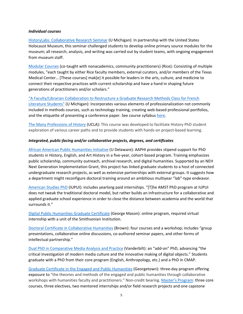### *Individual courses*

[HistoryLabs: Collaborative Research Seminar](https://rackham.umich.edu/about/strategic-vision/historylabs-collaborative-research-seminar-hist-717-an-affirmative-answer-for-the-humanities/) (U Michigan): In partnership with the United States Holocaust Museum, this seminar challenged students to develop online primary source modules for the museum; all research, analysis, and writing was carried out by student teams, with ongoing engagement from museum staff.

[Modular Courses](https://hrc.rice.edu/modular-courses) (co-taught with nonacademics, community practitioners) (Rice): Consisting of multiple modules, "each taught by either Rice faculty members, external curators, and/or members of the Texas Medical Center… [These courses] mak[e] it possible for leaders in the arts, culture, and medicine to connect their respective practices with current scholarship and have a hand in shaping future generations of practitioners and/or scholars."

### ["A Faculty/Librarian Collaboration to Restructure a Graduate Research Methods Class for French](https://sites.lsa.umich.edu/humanities-phd-proj/wp-content/uploads/sites/535/2017/04/Devlin_Hayes_The-French-Review-article_Dec-2015.pdf)

[Literature Students"](https://sites.lsa.umich.edu/humanities-phd-proj/wp-content/uploads/sites/535/2017/04/Devlin_Hayes_The-French-Review-article_Dec-2015.pdf) (U Michigan): Incorporates various elements of professionalization not commonly included in methods courses, such as technology training, creating web-based professional portfolios, and the etiquette of presenting a conference paper. See course syllabus [here.](https://sites.lsa.umich.edu/humanities-phd-proj/wp-content/uploads/sites/535/2017/04/Intro-to-Grad-Studies_Syllabus_FA16_Final.pdf)

[The Many Professions of History](https://www.historians.org/jobs-and-professional-development/career-diversity-for-historians/career-diversity-faculty-resources/the-many-professions-of-history-(ucla)) (UCLA): This course was developed to facilitate History PhD student exploration of various career paths and to provide students with hands-on project-based learning.

### *Integrated, public-facing and/or collaborative projects, degrees, and certificates*

[African American Public Humanities Initiative](http://www.afampublichumanities.udel.edu/) (U Delaware): AAPHI provides stipend support for PhD students in History, English, and Art History in a five-year, cohort-based program. Training emphasizes public scholarship, community outreach, archival research, and digital humanities. Supported by an NEH Next Generation Implementation Grant, this project has linked graduate students to a host of connected undergraduate research projects, as well as extensive partnerships with external groups. It suggests how a department might reconfigure doctoral training around an ambitious multiyear "lab"-type endeavor.

[American Studies PhD](https://amst.iupui.edu/) (IUPUI): includes yearlong paid internships. "[T]he AMST PhD program at IUPUI does not tweak the traditional doctoral model, but rather builds an infrastructure for a collaborative and applied graduate school experience in order to close the distance between academia and the world that surrounds it."

[Digital Public Humanities Graduate Certificate](https://masononline.gmu.edu/programs/digital-public-humanities-graduate-certificate/) (George Mason): online program, required virtual internship with a unit of the Smithsonian Institution.

[Doctoral Certificate in Collaborative Humanities](https://humanities.brown.edu/courses/doctoral-certificate) (Brown): four courses and a workshop; includes "group presentations, collaborative online discussions, co-authored seminar papers, and other forms of intellectual partnership."

[Dual PhD in Comparative Media Analysis and Practice](https://wp0.vanderbilt.edu/cmap/) (Vanderbilt): an "add-on" PhD, advancing "the critical investigation of modern media culture and the innovative making of digital objects." Students graduate with a PhD from their core program (English, Anthropology, etc.) and a PhD in CMAP.

[Graduate Certificate in the Engaged and Public Humanities](https://publichumanities.georgetown.edu/home-page/cert-2021-certificate/) (Georgetown): three-day program offering exposure to "the theories and methods of the engaged and public humanities through collaborative workshops with humanities faculty and practitioners." Non-credit bearing. [Master's Program:](https://publichumanities.georgetown.edu/) three core courses, three electives, two mentored internships and/or field research projects and one capstone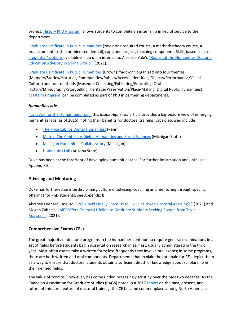project. [History PhD Program:](https://georgetown.app.box.com/s/is1qhmpjkfjg363f7yzzswshijxz9qrv) allows students to complete an internship in lieu of service to the department.

[Graduate Certificate in Public Humanities](https://ph.yale.edu/about-the-certificate-program) (Yale): one required course, a methods/theory course, a practicum (internship or micro-credential), capstone project, teaching component. Skills-base[d "micro](https://ph.yale.edu/certificate-program/micro-credential-option)[credential" options](https://ph.yale.edu/certificate-program/micro-credential-option) available in lieu of an internship. Also see Yale's ["Report of the Humanities Doctoral](https://image.message.yale.edu/lib/fe311570756405787c1278/m/1/0bfeafd2-c069-43b3-b529-bd6a7460fb89.pdf)  [Education Advisory Working Group,"](https://image.message.yale.edu/lib/fe311570756405787c1278/m/1/0bfeafd2-c069-43b3-b529-bd6a7460fb89.pdf) (2021).

[Graduate Certificate in Public Humanities](https://www.brown.edu/academics/public-humanities/graduate-program/graduate-certificate) (Brown): "add-on" organized into four themes (Memory/Stories/Histories; Communities/Publics/Access; Identities; Objects/Performance/Visual Culture) and four methods (Museum: Collecting/Exhibiting/Educating; Oral History/Ethnography/Storytelling; Heritage/Preservation/Place-Making; Digital Public Humanities). [Master's Program:](https://www.brown.edu/academics/public-humanities/graduate-program) can be completed as part of PhD in partnering departments.

# *Humanities labs*

["Labs Are for the Humanities, Too:"](https://www.insidehighered.com/news/2016/07/12/conference-explores-humanities-labs) this *Inside Higher Ed* article provides a big-picture view of emerging humanities labs (as of 2016), noting their benefits for doctoral training. Labs discussed include:

- [The Price Lab for Digital Humanities](https://pricelab.sas.upenn.edu/) (Penn)
- [Matrix: The Center for Digital Humanities and Social Sciences](https://www.matrix.msu.edu/) (Michigan State)
- [Michigan Humanities Collaboratory](https://sites.lsa.umich.edu/collaboratory/) (Michigan)
- [Humanities Lab](https://humanities.lab.asu.edu/) (Arizona State)

Duke has been at the forefront of developing humanities labs. For further information and links, see Appendix B.

# <span id="page-7-0"></span>**Advising and Mentoring**

Duke has furthered an interdisciplinary culture of advising, coaching and mentoring through specific offerings for PhD students; see Appendix B.

Also see Leonard Cassuto[, "Will Covid Finally Force Us to Fix Our Broken Doctoral Advising?,"](https://www.chronicle.com/article/will-covid-finally-force-us-to-fix-our-broken-doctoral-advising) (2021) and Megan Zahneis, ["MIT Offers Financial Lifeline to Graduate Students Seeking Escape from Toxic](https://www.chronicle.com/article/mit-offers-financial-lifeline-to-graduate-students-seeking-escape-from-toxic-advisers)  [Advisers,"](https://www.chronicle.com/article/mit-offers-financial-lifeline-to-graduate-students-seeking-escape-from-toxic-advisers) (2021).

# <span id="page-7-1"></span>**Comprehensive Exams (CEs)**

The great majority of doctoral programs in the humanities continue to require general examinations in a set of fields before students begin dissertation research in earnest, usually administered in the third year. Most often exams take a written form; less frequently they involve oral exams; in some programs, there are both written and oral components. Departments that explain the rationale for CEs depict them as a way to ensure that doctoral students obtain a sufficient depth of knowledge about scholarship in their defined fields.

The value of "comps," however, has come under increasingly scrutiny over the past two decades. As the Canadian Association for Graduate Studies (CAGS) noted in a 2017 [report](https://secureservercdn.net/45.40.148.221/bba.0c2.myftpupload.com/documents/gradstudies/Consultation%20Document%20(September%202017)%20The%20Comprehensive%20Examination%20%E2%80%93%20Rooted%20in%20History.pdf) on the past, present, and future of this core feature of doctoral training, the CE became commonplace among North American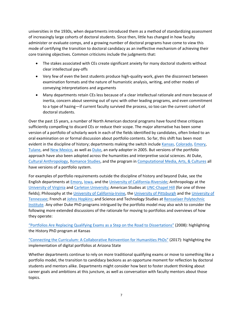universities in the 1930s, when departments introduced them as a method of standardizing assessment of increasingly large cohorts of doctoral students. Since then, little has changed in how faculty administer or evaluate comps, and a growing number of doctoral programs have come to view this mode of certifying the transition to doctoral candidacy as an ineffective mechanism of achieving their core training objectives. Common criticisms include the judgments that:

- The stakes associated with CEs create significant anxiety for many doctoral students without clear intellectual pay-offs
- Very few of even the best students produce high-quality work, given the disconnect between examination formats and the nature of humanistic analysis, writing, and other modes of conveying interpretations and arguments
- Many departments retain CEs less because of a clear intellectual rationale and more because of inertia, concern about seeming out of sync with other leading programs, and even commitment to a type of hazing—if current faculty survived the process, so too can the current cohort of doctoral students.

Over the past 15 years, a number of North American doctoral programs have found these critiques sufficiently compelling to discard CEs or reduce their scope. The major alternative has been some version of a portfolio of scholarly work in each of the fields identified by candidates, often linked to an oral examination on or formal discussion about portfolio contents. So far, this shift has been most evident in the discipline of history; departments making the switch include [Kansas,](https://catalog.ku.edu/liberal-arts-sciences/history/phd/#requirementstext) [Colorado,](https://www.colorado.edu/history/sites/default/files/attached-files/graduate_handbook_2020.pdf) [Emory,](http://history.emory.edu/home/graduate/phd-requirements.html#VI) [Tulane,](https://liberalarts.tulane.edu/sites/g/files/rdw466/f/sites/default/files/Graduate-Handbook-rev-1215.pdf) an[d New Mexico,](https://history.unm.edu/graduate/graduate-pdf-files/PHD%20Qualifying%20Exam%20Guidelines%20FINAL.pdf) as well as [Duke,](https://history.duke.edu/graduate/current/prelim) an early adopter in 2005. But versions of the portfolio approach have also been adopted across the humanities and interpretive social sciences. At Duke, [Cultural Anthropology,](https://culturalanthropology.duke.edu/graduate/portfolio) [Romance Studies,](https://romancestudies.duke.edu/sites/romancestudies.duke.edu/files/basic_pg_attachments/Portfolio%20Guidelines.pdf) and the program in [Computational Media, Arts, & Cultures](https://cmac.duke.edu/phd/requirements/preliminary-exam) all have versions of a portfolio system.

For examples of portfolio requirements outside the discipline of history and beyond Duke, see the English departments a[t Emory,](http://history.emory.edu/home/graduate/phd-requirements.html#VI-7) [Iowa,](https://english.uiowa.edu/sites/english.uiowa.edu/files/PhDHandbook%20for%20posting%20September%2014_%202017Final.pdf) and the [University of California-Riverside;](https://english.ucr.edu/phd-program) Anthropology at the [University of Virginia](https://anthropology.virginia.edu/sites/anthropology.virginia.edu/files/Grad%20Handbook%20071719.pdf) and [Carleton University;](https://carleton.ca/socanth/wp-content/uploads/Graduate-Guidelines-PhD-Anthropology-Final-Feb2618.pdf) American Studies at [UNC-Chapel Hill](https://americanstudies.unc.edu/graduate-studies-2/ph-d-american-studies/) (for one of three fields); Philosophy at the [University of California-Irvine,](https://www.humanities.uci.edu/philosophy/graduate/reqs.php) the [University of Pittsburgh](https://www.philosophy.pitt.edu/graduate/phd-requirements) and the [University](https://philosophy.utk.edu/grad/phd.php) of [Tennessee;](https://philosophy.utk.edu/grad/phd.php) French at [Johns Hopkins;](https://grll.jhu.edu/french/graduate/) and Science and Technology Studies a[t Rensselaer Polytechnic](http://catalog.rpi.edu/preview_program.php?catoid=22&poid=5477&returnto=541)  [Institute.](http://catalog.rpi.edu/preview_program.php?catoid=22&poid=5477&returnto=541) Any other Duke PhD programs intrigued by the portfolio model may also wish to consider the following more extended discussions of the rationale for moving to portfolios and overviews of how they operate:

["Portfolios Are Replacing Qualifying Exams as a Step on the Road to Dissertations"](https://www.chronicle.com/article/Portfolios-Are-Replacing/9141) (2008): highlighting the History PhD program at Kansas

["Connecting the Curriculum: A Collaborative Reinvention for Humanities PhDs"](https://profession.mla.org/connecting-the-curriculum-a-collaborative-reinvention-for-humanities-phds/) (2017): highlighting the implementation of digital portfolios at Arizona State

Whether departments continue to rely on more traditional qualifying exams or move to something like a portfolio model, the transition to candidacy beckons as an opportune moment for reflection by doctoral students and mentors alike. Departments might consider how best to foster student thinking about career goals and ambitions at this juncture, as well as conversation with faculty mentors about those topics.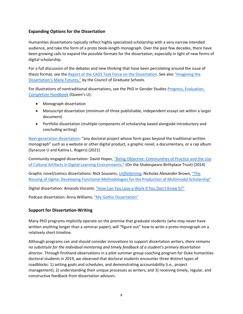# <span id="page-9-0"></span>**Expanding Options for the Dissertation**

Humanities dissertations typically reflect highly specialized scholarship with a very narrow intended audience, and take the form of a proto book-length monograph. Over the past few decades, there have been growing calls to expand the possible formats for the dissertation, especially in light of new forms of digital scholarship.

For a full discussion of the debates and new thinking that have been percolating around the issue of thesis format, see th[e Report of the CAGS Task Force on the Dissertation.](https://secureservercdn.net/45.40.148.221/bba.0c2.myftpupload.com/wp-content/uploads/2018/09/Dissertation-task-force-report-FINAL-Sept-EN-1.pdf) See also ["Imagining the](https://cgsnet.org/sites/default/files/March%20FINAL2.pdf)  [Dissertation's Many Futures,"](https://cgsnet.org/sites/default/files/March%20FINAL2.pdf) by the Council of Graduate Schools.

For illustrations of nontraditional dissertations, see the PhD in Gender Studies Progress, Evaluation, [Completion Handbook](https://www.queensu.ca/gnds/sites/gndswww/files/uploaded_files/Resources/PhD%20handbook.pdf) (Queen's U):

- Monograph dissertation
- Manuscript dissertation (minimum of three publishable, independent essays set within a larger document)
- Portfolio dissertation (multiple components of scholarship based alongside introductory and concluding writing)

[Next-generation dissertation:](https://nextgendiss.hcommons.org/what-why-how/) "any doctoral project whose form goes beyond the traditional written monograph" such as a website or other digital product, a graphic novel, a documentary, or a rap album (Syracuse U and Katina L. Rogers) (2021)

Community-engaged dissertation: David Hopes[, "Being Objective: Communities of Practice and the Use](https://etheses.bham.ac.uk/id/eprint/5344/1/Hopes14PhD.pdf)  [of Cultural Artifacts in Digital Learning Environments."](https://etheses.bham.ac.uk/id/eprint/5344/1/Hopes14PhD.pdf) (On the Shakespeare Birthplace Trust) (2014)

Graphic novel/comics dissertations: Nick Sousanis, *[Unflattening](http://spinweaveandcut.com/unflattening/)*; Nicholas Alexander Brown, ["The](https://profession.mla.org/dissertation-innovations-a-comics-dissertation/)  [Rousing of Ogma: Developing Functional Methodologies for the Production of Multimodal Scholarship"](https://profession.mla.org/dissertation-innovations-a-comics-dissertation/)

Digital dissertation: Amanda Visconti, ["How Can You Love a Work If You Don't Know It?"](http://dr.amandavisconti.com/)

Podcast dissertation: Anna Williams, ["My Gothic Dissertation"](https://profession.mla.org/dissertation-innovations-a-podcast-dissertation/)

# <span id="page-9-1"></span>**Support for Dissertation-Writing**

Many PhD programs implicitly operate on the premise that graduate students (who may never have written anything longer than a seminar paper), will "figure out" how to write a proto-monograph on a relatively short timeline.

Although programs can and should consider innovations to support dissertation writers, *there remains no substitute for the individual mentoring and timely feedback of a student's primary dissertation director.* Through firsthand observations in a pilot summer group coaching program for Duke humanities doctoral students in 2019, we observed that doctoral students encounter three distinct types of roadblocks: 1) setting goals and schedules, and demonstrating accountability (i.e., project management); 2) understanding their unique processes as writers; and 3) receiving timely, regular, and constructive feedback from dissertation advisors.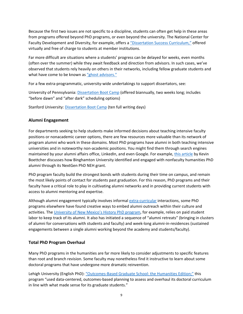Because the first two issues are not specific to a discipline, students can often get help in these areas from programs offered beyond PhD programs, or even beyond the university. The National Center for Faculty Development and Diversity, for example, offers a ["Dissertation Success Curriculum,"](https://www.facultydiversity.org/dissertation-success-public) offered virtually and free of charge to students at member institutions.

Far more difficult are situations where a students' progress can be delayed for weeks, even months (often over the summer) while they await feedback and direction from advisors. In such cases, we've observed that students rely heavily on others in their networks, including fellow graduate students and what have come to be known a[s "ghost advisors."](https://www.chronicle.com/article/Ghost-Advising/242729)

For a few extra-programmatic, university-wide undertakings to support dissertators, see:

University of Pennsylvania: [Dissertation Boot Camp](https://gsc.upenn.edu/academic-programs/thesis-and-dissertation-support/dissertation-boot-camp) (offered biannually, two weeks long; includes "before dawn" and "after dark" scheduling options)

<span id="page-10-0"></span>Stanford University[: Dissertation Boot Camp](https://undergrad.stanford.edu/tutoring-support/hume-center/writing/graduate-students/dissertation-boot-camp) (ten full writing days)

# **Alumni Engagement**

For departments seeking to help students make informed decisions about teaching intensive faculty positions or nonacademic career options, there are few resources more valuable than its network of program alumni who work in these domains. Most PhD programs have alumni in both teaching intensive universities and in noteworthy non-academic positions. You might find them through search engines maintained by your alumni affairs office, LinkedIn, and even Google. For example, [this article](https://www.europenowjournal.org/2017/06/05/a-different-doctor-reimagining-the-humanities-phd-for-a-changing-world/) by Kevin Boettcher discusses how Binghamton University identified and engaged with nonfaculty humanities PhD alumni through its NextGen PhD NEH grant.

PhD program faculty build the strongest bonds with students during their time on campus, and remain the most likely points of contact for students past graduation. For this reason, PhD programs and their faculty have a critical role to play in cultivating alumni networks and in providing current students with access to alumni mentoring and expertise.

Although alumni engagement typically involves informa[l extra-curricular](https://humwork.uchri.org/berkeley/) interactions, some PhD programs elsewhere have found creative ways to embed alumni outreach within their culture and activities. The [University of New Mexico's History PhD program,](https://history.unm.edu/alumni-and-friends/index.html) for example, relies on paid student labor to keep track of its alumni. It also has initiated a sequence of "alumni retreats" (bringing in clusters of alumni for conversations with students and faculty) and week-long alumni-in-residences (sustained engagements between a single alumni working beyond the academy and students/faculty).

# <span id="page-10-1"></span>**Total PhD Program Overhaul**

Many PhD programs in the humanities are far more likely to consider adjustments to specific features than root and branch revision. Some faculty may nonetheless find it instructive to learn about some doctoral programs that have undergone more dramatic reinvention.

Lehigh University (English PhD)[: "Outcomes-Based Graduate School: the Humanities Edition;"](https://www.chronicle.com/article/Outcomes-Based-Graduate/246501) this program "used data-centered, outcomes-based planning to assess and overhaul its doctoral curriculum in line with what made sense for its graduate students."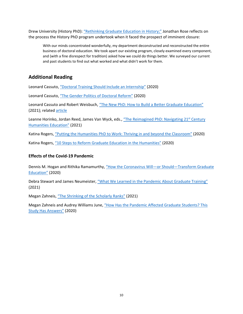Drew University (History PhD): ["Rethinking Graduate Education in History;"](https://www.historians.org/publications-and-directories/perspectives-on-history/february-2009/rethinking-graduate-education-in-history) Jonathan Rose reflects on the process the History PhD program undertook when it faced the prospect of imminent closure:

With our minds concentrated wonderfully, my department deconstructed and reconstructed the entire business of doctoral education. We took apart our existing program, closely examined every component, and (with a fine disrespect for tradition) asked how we could do things better. We surveyed our current and past students to find out what worked and what didn't work for them.

# <span id="page-11-0"></span>**Additional Reading**

Leonard Cassuto, ["Doctoral Training Should Include an Internship"](https://www.chronicle.com/article/doctoral-training-should-include-an-internship) (2020)

Leonard Cassuto, ["The Gender Politics of Doctoral Reform"](https://www.chronicle.com/article/the-gender-politics-of-doctoral-reform/) (2020)

Leonard Cassuto and Robert Weisbuch, ["The New PhD: How to Build a Better Graduate Education"](https://jhupbooks.press.jhu.edu/title/new-phd) (2021); related [article](https://www.chronicle.com/article/the-ph-d-isnt-working-right-now)

Leanne Horinko, Jordan Reed, James Van Wyck, eds., "The Reimagined PhD: Navigating 21<sup>st</sup> Century [Humanities Education"](https://www.rutgersuniversitypress.org/the-reimagined-phd/9781978809116) (2021)

Katina Rogers, ["Putting the Humanities PhD to Work: Thriving in and beyond the Classroom"](https://www.dukeupress.edu/putting-the-humanities-phd-to-work) (2020)

Katina Rogers, ["10 Steps to Reform Graduate Education in the Humanities"](https://academicworks.cuny.edu/gc_pubs/667/) (2020)

# **Effects of the Covid-19 Pandemic**

Dennis M. Hogan and Rithika Ramamurthy, "How the Coronavirus Will—or Should—Transform Graduate [Education"](https://www.chronicle.com/article/how-the-coronavirus-will-or-should-transform-graduate-education/) (2020)

Debra Stewart and James Neumeister, ["What We Learned in the Pandemic About Graduate Training"](https://www.chronicle.com/article/what-we-learned-in-the-pandemic-about-graduate-training) (2021)

Megan Zahneis, "The Shrinking of [the Scholarly Ranks"](https://www.chronicle.com/article/the-shrinking-of-the-scholarly-ranks) (2021)

Megan Zahneis and Audrey Williams June, ["How Has the Pandemic Affected Graduate Students? This](https://www.chronicle.com/article/how-has-the-pandemic-affected-graduate-students-this-study-has-answers)  [Study Has Answers"](https://www.chronicle.com/article/how-has-the-pandemic-affected-graduate-students-this-study-has-answers) (2020)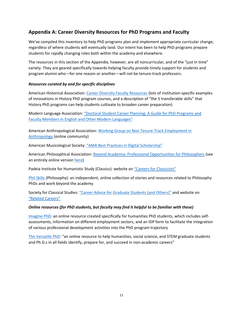# <span id="page-12-0"></span>**Appendix A: Career Diversity Resources for PhD Programs and Faculty**

We've compiled this inventory to help PhD programs plan and implement appropriate curricular change, regardless of where students will eventually land. Our intent has been to help PhD programs prepare students for rapidly changing roles both within the academy and elsewhere.

The resources in this section of the Appendix, however, are all noncurricular, and of the "just in time" variety. They are geared specifically towards helping faculty provide timely support for students and program alumni who—for one reason or another—will not be tenure-track professors.

# *Resources curated by and for specific disciplines*

American Historical Association: [Career Diversity Faculty Resources](https://www.historians.org/jobs-and-professional-development/career-diversity-for-historians/career-diversity-faculty-resources) (lots of institution-specific examples of innovations in History PhD program courses, and a description of "the 5 transferable skills" that History PhD programs can help students cultivate to broaden career preparation)

Modern Language Association: "Doctoral Student [Career Planning: A Guide for PhD Programs and](https://connect.mla.hcommons.org/doctoral-student-career-planning-faculty-toolkit/)  [Faculty Members in English and Other Modern Languages"](https://connect.mla.hcommons.org/doctoral-student-career-planning-faculty-toolkit/)

American Anthropological Association: [Working Group on Non Tenure-Track Employment in](https://www.americananthro.org/AdvanceYourCareer/Landing.aspx?ItemNumber=21819)  [Anthropology](https://www.americananthro.org/AdvanceYourCareer/Landing.aspx?ItemNumber=21819) (online community)

American Musicological Society: ["AMA Best Practices in Digital Scholarship"](https://www.amsmusicology.org/page/Tech_BestPractices)

American Philosophical Association: [Beyond Academia: Professional Opportunities for Philosophers](https://www.apaonline.org/page/beyondacademia) (see an entirely online version [here\)](https://www.apaonline.org/page/nonacademic)

Padeia Institute for Humanistic Study (Classics): website on ["Careers for Classicists"](https://www.paideiainstitute.org/careers_for_classicists)

[Phil Skills](http://www.philskills.com/) (Philosophy): an independent, online collection of stories and resources related to Philosophy PhDs and work beyond the academy

Society for Classical Studies: ["Career Advice for Graduate Students \(and Others\)"](https://classicalstudies.org/career-advice-graduate-students-and-others) and website on ["Related Careers"](https://classicalstudies.org/placement-service/related-careers)

### *Online resources (for PhD students, but faculty may find it helpful to be familiar with these)*

[Imagine PhD:](https://www.imaginephd.com/) an online resource created specifically for humanities PhD students, which includes selfassessments, information on different employment sectors, and an IDP form to facilitate the integration of various professional development activities into the PhD program trajectory

[The Versatile PhD:](https://gradschool.duke.edu/professional-development/access-versatile-phd) "an online resource to help humanities, social science, and STEM graduate students and Ph.D.s in all fields identify, prepare for, and succeed in non-academic careers"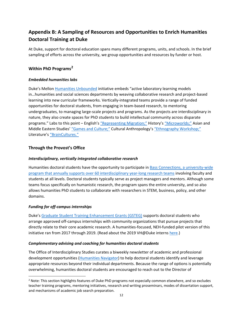# <span id="page-13-0"></span>**Appendix B: A Sampling of Resources and Opportunities to Enrich Humanities Doctoral Training at Duke**

At Duke, support for doctoral education spans many different programs, units, and schools. In the brief sampling of efforts across the university, we group opportunities and resources by funder or host.

# **Within PhD Programs[2](#page-13-1)**

# *Embedded humanities labs*

Duke's Mello[n Humanities Unbounded](https://humanitiesunbounded.duke.edu/) initiative embeds "active laboratory learning models in…humanities and social sciences departments by weaving collaborative research and project-based learning into new curricular frameworks. Vertically-integrated teams provide a range of funded opportunities for doctoral students, from engaging in team-based research, to mentoring undergraduates, to managing large-scale projects and programs. As the projects are interdisciplinary in nature, they also create spaces for PhD students to build intellectual community across disparate programs." Labs to this point - English's ["Representing Migration;"](https://sites.duke.edu/representingmigration/) History's ["Microworlds;"](https://sites.duke.edu/microworldslab/) Asian and Middle Eastern Studies' ["Games and Culture;"](https://sites.duke.edu/gamesandculture/) Cultural Anthropology'[s "Ethnography Workshop;"](https://humanitiesunbounded.duke.edu/labs/ethnography-workshop) Literature'[s "BrainCultures."](https://humanitiesunbounded.duke.edu/humanities-labs/braincultures)

# **Through the Provost's Office**

# *Interdisciplinary, vertically integrated collaborative research*

Humanities doctoral students have the opportunity to participate i[n Bass Connections,](https://bassconnections.duke.edu/) a university-wide program that annually supports over 60 interdisciplinary year-long research teams involving faculty and students at all levels. Doctoral students typically serve as project managers and mentors. Although some teams focus specifically on humanistic research, the program spans the entire university, and so also allows humanities PhD students to collaborate with researchers in STEM, business, policy, and other domains.

# *Funding for off-campus internships*

Duke'[s Graduate Student Training Enhancement Grants \(GSTEG\)](https://sites.duke.edu/interdisciplinary/funding-opportunities/graduate-student-training-enhancement-grants-gsteg/) supports doctoral students who arrange approved off-campus internships with community organizations that pursue projects that directly relate to their core academic research. A humanities-focused, NEH-funded pilot version of this initiative ran from 2017 through 2019. (Read about the 2019 VH@Duke interns [here.](https://versatilehumanists.duke.edu/2019/04/09/11-ph-d-students-named-vhduke-interns-for-2019/))

# *Complementary advising and coaching for humanities doctoral students*

The Office of Interdisciplinary Studies curates a biweekly newsletter of academic and professional development opportunities [\(Humanities Navigator\)](http://www.icontact-archive.com/archive?c=1560489&f=21532&s=25023&m=237818&t=f0b6e8c9655be1a7de980a9f5b09de688cd74907181363b66fe28b6d9138ce16) to help doctoral students identify and leverage appropriate resources beyond their individual departments. Because the range of options is potentially overwhelming, humanities doctoral students are encouraged to reach out to the Director of

<span id="page-13-1"></span><sup>&</sup>lt;sup>2</sup> Note: This section highlights features of Duke PhD programs not especially common elsewhere, and so excludes teacher training programs, mentoring initiatives, research and writing proseminars, modes of dissertation support, and mechanisms of academic job search preparation.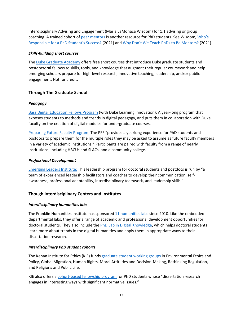Interdisciplinary Advising and Engagement (Maria LaMonaca Wisdom) for 1:1 advising or group coaching. A trained cohort of [peer mentors](https://sites.duke.edu/interdisciplinary/phd-student-peer-mentoring/) is another resource for PhD students. See Wisdom, Who's [Responsible for a PhD Student's Success?](https://www.chronicle.com/article/whos-responsible-for-a-ph-d-students-success) (2021) and [Why Don't We Teach PhDs to Be Mentors?](https://www.chronicle.com/article/why-dont-we-teach-ph-d-s-to-be-mentors) (2021).

# *Skills-building short courses*

The [Duke Graduate Academy](https://strategicplan.duke.edu/graduate-academy/) offers free short courses that introduce Duke graduate students and postdoctoral fellows to skills, tools, and knowledge that augment their regular coursework and help emerging scholars prepare for high-level research, innovative teaching, leadership, and/or public engagement. Not for credit.

# **Through The Graduate School**

# *Pedagogy*

[Bass Digital Education Fellows Program](https://gradschool.duke.edu/professional-development/programs/bass-instructional-fellowships/bass-digital-education-fellowships) (with Duke Learning Innovation): A year-long program that exposes students to methods and trends in digital pedagogy, and puts them in collaboration with Duke faculty on the creation of digital modules for undergraduate courses.

[Preparing Future Faculty Program:](https://gradschool.duke.edu/professional-development/programs/preparing-future-faculty) The PFF "provides a yearlong experience for PhD students and postdocs to prepare them for the multiple roles they may be asked to assume as future faculty members in a variety of academic institutions." Participants are paired with faculty from a range of nearly institutions, including HBCUs and SLACs, and a community college.

# *Professional Development*

[Emerging Leaders Institute:](https://gradschool.duke.edu/professional-development/programs/emerging-leaders-institute) This leadership program for doctoral students and postdocs is run by "a team of experienced leadership facilitators and coaches to develop their communication, selfawareness, professional adaptability, interdisciplinary teamwork, and leadership skills."

# **Though Interdisciplinary Centers and Institutes**

# *Interdisciplinary humanities labs*

The Franklin Humanities Institute has sponsored [11 humanities labs](https://fhi.duke.edu/labs) since 2010. Like the embedded departmental labs, they offer a range of academic and professional development opportunities for doctoral students. They also include the [PhD Lab in Digital Knowledge,](https://fhi.duke.edu/labs/phd-lab-digital-knowledge) which helps doctoral students learn more about trends in the digital humanities and apply them in appropriate ways to their dissertation research.

### *Interdisciplinary PhD student cohorts*

The Kenan Institute for Ethics (KIE) fund[s graduate student working groups](https://kenan.ethics.duke.edu/Graduate%20Student%20Programs/) in Environmental Ethics and Policy, Global Migration, Human Rights, Moral Attitudes and Decision-Making, Rethinking Regulation, and Religions and Public Life.

KIE also offers a [cohort-based fellowship program](https://kenan.ethics.duke.edu/graduate-fellowship/) for PhD students whose "dissertation research engages in interesting ways with significant normative issues."